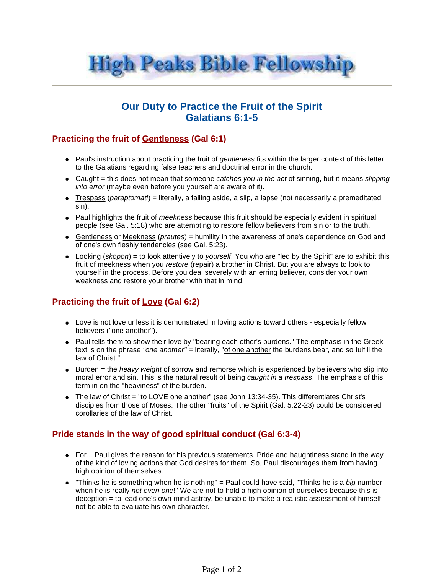

# **Our Duty to Practice the Fruit of the Spirit Galatians 6:1-5**

### **Practicing the fruit of Gentleness (Gal 6:1)**

- Paul's instruction about practicing the fruit of gentleness fits within the larger context of this letter to the Galatians regarding false teachers and doctrinal error in the church.
- $\bullet$  Caught = this does not mean that someone *catches you in the act* of sinning, but it means slipping into error (maybe even before you yourself are aware of it).
- $\bullet$  Trespass (*paraptomati*) = literally, a falling aside, a slip, a lapse (not necessarily a premeditated sin).
- Paul highlights the fruit of meekness because this fruit should be especially evident in spiritual people (see Gal. 5:18) who are attempting to restore fellow believers from sin or to the truth.
- Gentleness or Meekness (*prautes*) = humility in the awareness of one's dependence on God and of one's own fleshly tendencies (see Gal. 5:23).
- $\bullet$  Looking (skopon) = to look attentively to *yourself*. You who are "led by the Spirit" are to exhibit this fruit of meekness when you restore (repair) a brother in Christ. But you are always to look to yourself in the process. Before you deal severely with an erring believer, consider your own weakness and restore your brother with that in mind.

## **Practicing the fruit of Love (Gal 6:2)**

- Love is not love unless it is demonstrated in loving actions toward others especially fellow believers ("one another").
- Paul tells them to show their love by "bearing each other's burdens." The emphasis in the Greek text is on the phrase "one another" = literally, "of one another the burdens bear, and so fulfill the law of Christ."
- $\bullet$  Burden = the *heavy weight* of sorrow and remorse which is experienced by believers who slip into moral error and sin. This is the natural result of being *caught in a trespass*. The emphasis of this term in on the "heaviness" of the burden.
- The law of Christ = "to LOVE one another" (see John 13:34-35). This differentiates Christ's disciples from those of Moses. The other "fruits" of the Spirit (Gal. 5:22-23) could be considered corollaries of the law of Christ.

### **Pride stands in the way of good spiritual conduct (Gal 6:3-4)**

- For... Paul gives the reason for his previous statements. Pride and haughtiness stand in the way of the kind of loving actions that God desires for them. So, Paul discourages them from having high opinion of themselves.
- $\bullet$  "Thinks he is something when he is nothing" = Paul could have said, "Thinks he is a big number when he is really not even one!" We are not to hold a high opinion of ourselves because this is  $decention = to lead one's own mind astray, be unable to make a realistic assessment of himself,$ not be able to evaluate his own character.